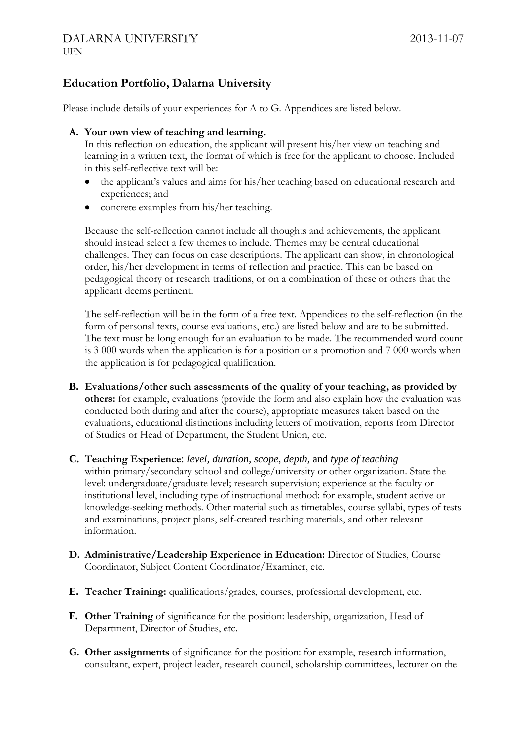## **Education Portfolio, Dalarna University**

Please include details of your experiences for A to G. Appendices are listed below.

## **A. Your own view of teaching and learning.**

In this reflection on education, the applicant will present his/her view on teaching and learning in a written text, the format of which is free for the applicant to choose. Included in this self-reflective text will be:

- the applicant's values and aims for his/her teaching based on educational research and experiences; and
- concrete examples from his/her teaching.

Because the self-reflection cannot include all thoughts and achievements, the applicant should instead select a few themes to include. Themes may be central educational challenges. They can focus on case descriptions. The applicant can show, in chronological order, his/her development in terms of reflection and practice. This can be based on pedagogical theory or research traditions, or on a combination of these or others that the applicant deems pertinent.

The self-reflection will be in the form of a free text. Appendices to the self-reflection (in the form of personal texts, course evaluations, etc.) are listed below and are to be submitted. The text must be long enough for an evaluation to be made. The recommended word count is 3 000 words when the application is for a position or a promotion and 7 000 words when the application is for pedagogical qualification.

- **B. Evaluations/other such assessments of the quality of your teaching, as provided by others:** for example, evaluations (provide the form and also explain how the evaluation was conducted both during and after the course), appropriate measures taken based on the evaluations, educational distinctions including letters of motivation, reports from Director of Studies or Head of Department, the Student Union, etc.
- **C. Teaching Experience**: *level, duration, scope, depth,* and *type of teaching* within primary/secondary school and college/university or other organization. State the level: undergraduate/graduate level; research supervision; experience at the faculty or institutional level, including type of instructional method: for example, student active or knowledge-seeking methods. Other material such as timetables, course syllabi, types of tests and examinations, project plans, self-created teaching materials, and other relevant information.
- **D. Administrative/Leadership Experience in Education:** Director of Studies, Course Coordinator, Subject Content Coordinator/Examiner, etc.
- **E. Teacher Training:** qualifications/grades, courses, professional development, etc.
- **F. Other Training** of significance for the position: leadership, organization, Head of Department, Director of Studies, etc.
- **G. Other assignments** of significance for the position: for example, research information, consultant, expert, project leader, research council, scholarship committees, lecturer on the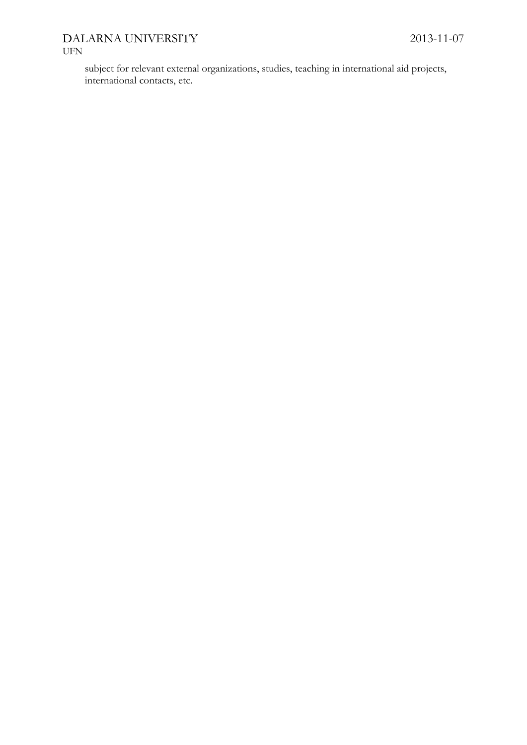## DALARNA UNIVERSITY 2013-11-07 UFN

subject for relevant external organizations, studies, teaching in international aid projects, international contacts, etc.